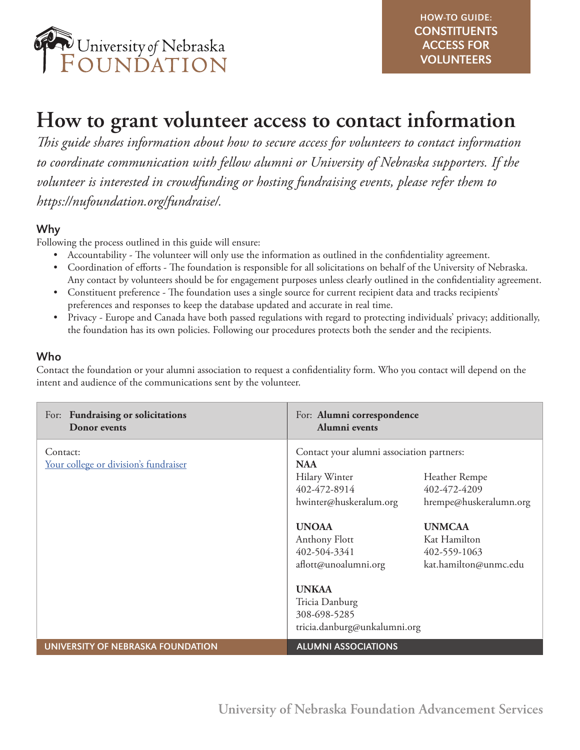

# **How to grant volunteer access to contact information**

*This guide shares information about how to secure access for volunteers to contact information to coordinate communication with fellow alumni or University of Nebraska supporters. If the volunteer is interested in crowdfunding or hosting fundraising events, please refer them to https://nufoundation.org/fundraise/.* 

## Why

Following the process outlined in this guide will ensure:

- Accountability The volunteer will only use the information as outlined in the confidentiality agreement.
- Coordination of efforts The foundation is responsible for all solicitations on behalf of the University of Nebraska. Any contact by volunteers should be for engagement purposes unless clearly outlined in the confidentiality agreement.
- Constituent preference The foundation uses a single source for current recipient data and tracks recipients' preferences and responses to keep the database updated and accurate in real time.
- Privacy Europe and Canada have both passed regulations with regard to protecting individuals' privacy; additionally, the foundation has its own policies. Following our procedures protects both the sender and the recipients.

### Who

Contact the foundation or your alumni association to request a confidentiality form. Who you contact will depend on the intent and audience of the communications sent by the volunteer.

| For: Fundraising or solicitations<br>Donor events | For: Alumni correspondence<br>Alumni events                                                                                                                                                                                                                                                                                                                                                                        |
|---------------------------------------------------|--------------------------------------------------------------------------------------------------------------------------------------------------------------------------------------------------------------------------------------------------------------------------------------------------------------------------------------------------------------------------------------------------------------------|
| Contact:<br>Your college or division's fundraiser | Contact your alumni association partners:<br><b>NAA</b><br>Hilary Winter<br>Heather Rempe<br>402-472-8914<br>402-472-4209<br>hwinter@huskeralum.org<br>hrempe@huskeralumn.org<br><b>UNOAA</b><br><b>UNMCAA</b><br>Anthony Flott<br>Kat Hamilton<br>402-504-3341<br>402-559-1063<br>aflott@unoalumni.org<br>kat.hamilton@unmc.edu<br><b>UNKAA</b><br>Tricia Danburg<br>308-698-5285<br>tricia.danburg@unkalumni.org |
| UNIVERSITY OF NEBRASKA FOUNDATION                 | <b>ALUMNI ASSOCIATIONS</b>                                                                                                                                                                                                                                                                                                                                                                                         |